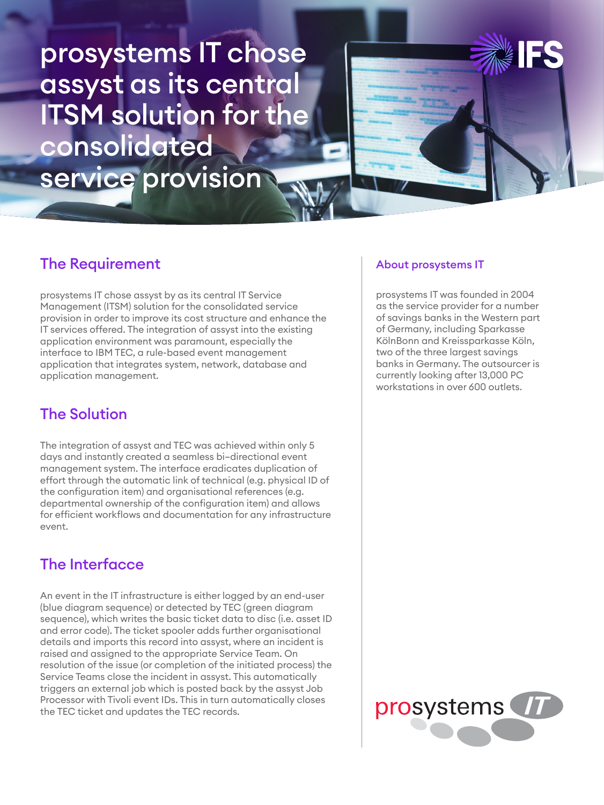prosystems IT chose assyst as its central ITSM solution for the consolidated service provision

## The Requirement

prosystems IT chose assyst by as its central IT Service Management (ITSM) solution for the consolidated service provision in order to improve its cost structure and enhance the IT services offered. The integration of assyst into the existing application environment was paramount, especially the interface to IBM TEC, a rule-based event management application that integrates system, network, database and application management.

# The Solution

The integration of assyst and TEC was achieved within only 5 days and instantly created a seamless bi–directional event management system. The interface eradicates duplication of effort through the automatic link of technical (e.g. physical ID of the configuration item) and organisational references (e.g. departmental ownership of the configuration item) and allows for efficient workflows and documentation for any infrastructure event.

# The Interfacce

An event in the IT infrastructure is either logged by an end-user (blue diagram sequence) or detected by TEC (green diagram sequence), which writes the basic ticket data to disc (i.e. asset ID and error code). The ticket spooler adds further organisational details and imports this record into assyst, where an incident is raised and assigned to the appropriate Service Team. On resolution of the issue (or completion of the initiated process) the Service Teams close the incident in assyst. This automatically triggers an external job which is posted back by the assyst Job Processor with Tivoli event IDs. This in turn automatically closes the TEC ticket and updates the TEC records.

#### About prosystems IT

prosystems IT was founded in 2004 as the service provider for a number of savings banks in the Western part of Germany, including Sparkasse KölnBonn and Kreissparkasse Köln, two of the three largest savings banks in Germany. The outsourcer is currently looking after 13,000 PC workstations in over 600 outlets.